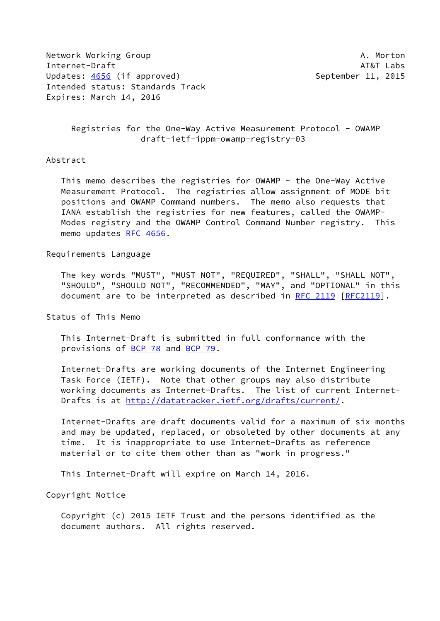Network Working Group **A. Morton** A. Morton Internet-Draft AT&T Labs Updates: [4656](https://datatracker.ietf.org/doc/pdf/rfc4656) (if approved) September 11, 2015 Intended status: Standards Track Expires: March 14, 2016

 Registries for the One-Way Active Measurement Protocol - OWAMP draft-ietf-ippm-owamp-registry-03

## Abstract

 This memo describes the registries for OWAMP - the One-Way Active Measurement Protocol. The registries allow assignment of MODE bit positions and OWAMP Command numbers. The memo also requests that IANA establish the registries for new features, called the OWAMP- Modes registry and the OWAMP Control Command Number registry. This memo updates [RFC 4656](https://datatracker.ietf.org/doc/pdf/rfc4656).

### Requirements Language

 The key words "MUST", "MUST NOT", "REQUIRED", "SHALL", "SHALL NOT", "SHOULD", "SHOULD NOT", "RECOMMENDED", "MAY", and "OPTIONAL" in this document are to be interpreted as described in [RFC 2119 \[RFC2119](https://datatracker.ietf.org/doc/pdf/rfc2119)].

Status of This Memo

 This Internet-Draft is submitted in full conformance with the provisions of [BCP 78](https://datatracker.ietf.org/doc/pdf/bcp78) and [BCP 79](https://datatracker.ietf.org/doc/pdf/bcp79).

 Internet-Drafts are working documents of the Internet Engineering Task Force (IETF). Note that other groups may also distribute working documents as Internet-Drafts. The list of current Internet Drafts is at<http://datatracker.ietf.org/drafts/current/>.

 Internet-Drafts are draft documents valid for a maximum of six months and may be updated, replaced, or obsoleted by other documents at any time. It is inappropriate to use Internet-Drafts as reference material or to cite them other than as "work in progress."

This Internet-Draft will expire on March 14, 2016.

Copyright Notice

 Copyright (c) 2015 IETF Trust and the persons identified as the document authors. All rights reserved.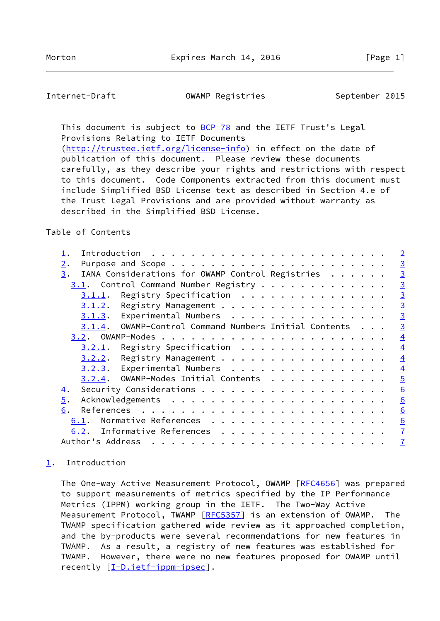<span id="page-1-1"></span>Internet-Draft **OWAMP Registries** September 2015

This document is subject to [BCP 78](https://datatracker.ietf.org/doc/pdf/bcp78) and the IETF Trust's Legal Provisions Relating to IETF Documents [\(http://trustee.ietf.org/license-info](http://trustee.ietf.org/license-info)) in effect on the date of

 publication of this document. Please review these documents carefully, as they describe your rights and restrictions with respect to this document. Code Components extracted from this document must include Simplified BSD License text as described in Section 4.e of the Trust Legal Provisions and are provided without warranty as described in the Simplified BSD License.

## Table of Contents

|                  |                  |                                                  |   |  |  |  |  |  |  |  | $\overline{2}$  |
|------------------|------------------|--------------------------------------------------|---|--|--|--|--|--|--|--|-----------------|
| $\overline{2}$ . |                  |                                                  |   |  |  |  |  |  |  |  | $\overline{3}$  |
| 3.               |                  | IANA Considerations for OWAMP Control Registries |   |  |  |  |  |  |  |  | $\overline{3}$  |
|                  |                  | 3.1. Control Command Number Registry             |   |  |  |  |  |  |  |  | $\overline{3}$  |
|                  | 3.1.1.           | Registry Specification                           |   |  |  |  |  |  |  |  | $\overline{3}$  |
|                  | 3.1.2.           | Registry Management                              |   |  |  |  |  |  |  |  | $\overline{3}$  |
|                  | 3.1.3.           | Experimental Numbers                             |   |  |  |  |  |  |  |  | $\overline{3}$  |
|                  | 3.1.4.           | OWAMP-Control Command Numbers Initial Contents   |   |  |  |  |  |  |  |  | $\overline{3}$  |
|                  |                  |                                                  |   |  |  |  |  |  |  |  | $\overline{4}$  |
|                  | 3.2.1.           | Registry Specification                           |   |  |  |  |  |  |  |  | $\overline{4}$  |
|                  | 3.2.2.           | Registry Management                              |   |  |  |  |  |  |  |  | $\overline{4}$  |
|                  | 3.2.3.           | Experimental Numbers                             |   |  |  |  |  |  |  |  | $\overline{4}$  |
|                  | 3.2.4.           | OWAMP-Modes Initial Contents                     |   |  |  |  |  |  |  |  | $\overline{5}$  |
| 4.               |                  |                                                  |   |  |  |  |  |  |  |  | $\underline{6}$ |
| 5.               |                  |                                                  |   |  |  |  |  |  |  |  | 6               |
| 6.               |                  |                                                  |   |  |  |  |  |  |  |  | 6               |
| 6.1.             |                  | Normative References                             |   |  |  |  |  |  |  |  | 6               |
| 6.2.             |                  | Informative References                           |   |  |  |  |  |  |  |  | $\overline{1}$  |
|                  | Author's Address |                                                  | . |  |  |  |  |  |  |  | $\overline{1}$  |
|                  |                  |                                                  |   |  |  |  |  |  |  |  |                 |

# <span id="page-1-0"></span>[1](#page-1-0). Introduction

The One-way Active Measurement Protocol, OWAMP [\[RFC4656](https://datatracker.ietf.org/doc/pdf/rfc4656)] was prepared to support measurements of metrics specified by the IP Performance Metrics (IPPM) working group in the IETF. The Two-Way Active Measurement Protocol, TWAMP [\[RFC5357](https://datatracker.ietf.org/doc/pdf/rfc5357)] is an extension of OWAMP. The TWAMP specification gathered wide review as it approached completion, and the by-products were several recommendations for new features in TWAMP. As a result, a registry of new features was established for TWAMP. However, there were no new features proposed for OWAMP until recently  $[I-D.iett-ippm-ipsec]$ .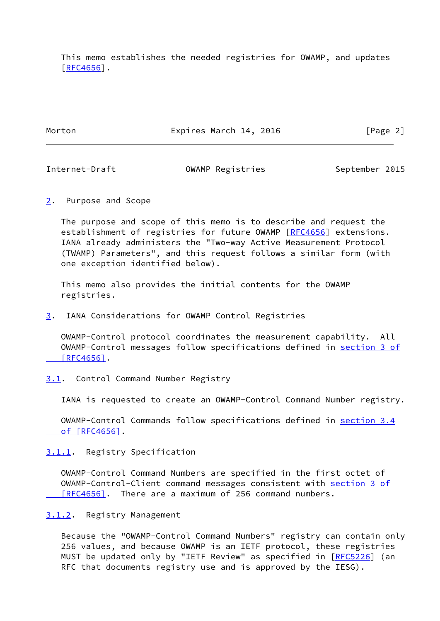This memo establishes the needed registries for OWAMP, and updates [\[RFC4656](https://datatracker.ietf.org/doc/pdf/rfc4656)].

Morton **Expires March 14, 2016** [Page 2]

<span id="page-2-1"></span>Internet-Draft OWAMP Registries September 2015

<span id="page-2-0"></span>[2](#page-2-0). Purpose and Scope

 The purpose and scope of this memo is to describe and request the establishment of registries for future OWAMP [\[RFC4656](https://datatracker.ietf.org/doc/pdf/rfc4656)] extensions. IANA already administers the "Two-way Active Measurement Protocol (TWAMP) Parameters", and this request follows a similar form (with one exception identified below).

 This memo also provides the initial contents for the OWAMP registries.

<span id="page-2-2"></span>[3](#page-2-2). IANA Considerations for OWAMP Control Registries

 OWAMP-Control protocol coordinates the measurement capability. All OWAMP-Control messages follow specifications defined in [section](https://datatracker.ietf.org/doc/pdf/rfc4656#section-3) 3 of  $[RFC4656]$ .

<span id="page-2-3"></span>[3.1](#page-2-3). Control Command Number Registry

IANA is requested to create an OWAMP-Control Command Number registry.

 OWAMP-Control Commands follow specifications defined in [section](https://datatracker.ietf.org/doc/pdf/rfc4656#section-3.4) 3.4  [of \[RFC4656\]](https://datatracker.ietf.org/doc/pdf/rfc4656#section-3.4).

<span id="page-2-4"></span>[3.1.1](#page-2-4). Registry Specification

 OWAMP-Control Command Numbers are specified in the first octet of OWAMP-Control-Client command messages consistent with [section](https://datatracker.ietf.org/doc/pdf/rfc4656#section-3) 3 of [RFC4656]. There are a maximum of 256 command numbers.

<span id="page-2-5"></span>[3.1.2](#page-2-5). Registry Management

 Because the "OWAMP-Control Command Numbers" registry can contain only 256 values, and because OWAMP is an IETF protocol, these registries MUST be updated only by "IETF Review" as specified in [[RFC5226](https://datatracker.ietf.org/doc/pdf/rfc5226)] (an RFC that documents registry use and is approved by the IESG).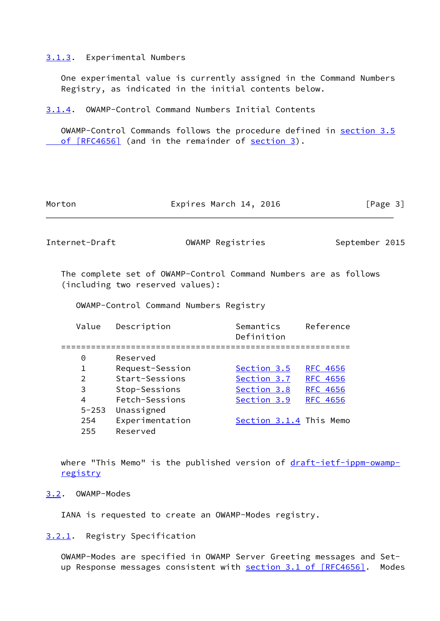#### <span id="page-3-0"></span>[3.1.3](#page-3-0). Experimental Numbers

 One experimental value is currently assigned in the Command Numbers Registry, as indicated in the initial contents below.

<span id="page-3-1"></span>[3.1.4](#page-3-1). OWAMP-Control Command Numbers Initial Contents

 OWAMP-Control Commands follows the procedure defined in [section](https://datatracker.ietf.org/doc/pdf/rfc4656#section-3.5) 3.5 of [RFC4656] (and in the remainder of [section 3\)](#page-2-2).

| Expires March 14, 2016 | [Page 3] |
|------------------------|----------|
|                        |          |

<span id="page-3-3"></span>Internet-Draft OWAMP Registries September 2015

 The complete set of OWAMP-Control Command Numbers are as follows (including two reserved values):

OWAMP-Control Command Numbers Registry

| Value     | Description     | Semantics<br>Definition | Reference       |
|-----------|-----------------|-------------------------|-----------------|
| 0         | Reserved        |                         |                 |
| 1         | Request-Session | Section 3.5             | <b>RFC 4656</b> |
| 2         | Start-Sessions  | Section 3.7             | <b>RFC 4656</b> |
| 3         | Stop-Sessions   | Section 3.8             | <b>RFC 4656</b> |
| 4         | Fetch-Sessions  | Section 3.9             | <b>RFC 4656</b> |
| $5 - 253$ | Unassigned      |                         |                 |
| 254       | Experimentation | Section 3.1.4 This Memo |                 |
| 255       | Reserved        |                         |                 |

where "This Memo" is the published version of [draft-ietf-ippm-owamp](https://datatracker.ietf.org/doc/pdf/draft-ietf-ippm-owamp-registry) [registry](https://datatracker.ietf.org/doc/pdf/draft-ietf-ippm-owamp-registry)

#### <span id="page-3-2"></span>[3.2](#page-3-2). OWAMP-Modes

IANA is requested to create an OWAMP-Modes registry.

<span id="page-3-4"></span>[3.2.1](#page-3-4). Registry Specification

 OWAMP-Modes are specified in OWAMP Server Greeting messages and Set- up Response messages consistent with section [3.1 of \[RFC4656\]](https://datatracker.ietf.org/doc/pdf/rfc4656#section-3.1). Modes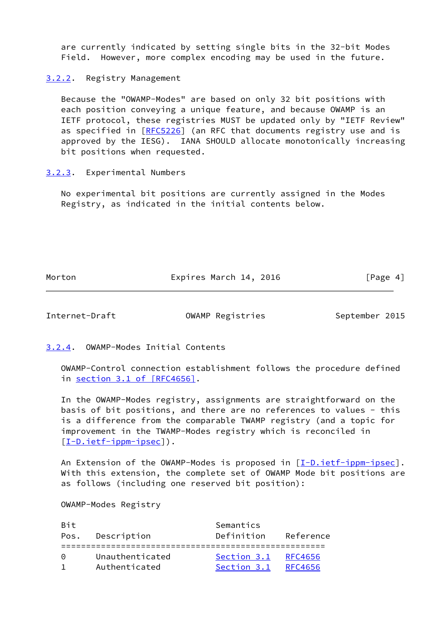are currently indicated by setting single bits in the 32-bit Modes Field. However, more complex encoding may be used in the future.

<span id="page-4-0"></span>[3.2.2](#page-4-0). Registry Management

 Because the "OWAMP-Modes" are based on only 32 bit positions with each position conveying a unique feature, and because OWAMP is an IETF protocol, these registries MUST be updated only by "IETF Review" as specified in [\[RFC5226](https://datatracker.ietf.org/doc/pdf/rfc5226)] (an RFC that documents registry use and is approved by the IESG). IANA SHOULD allocate monotonically increasing bit positions when requested.

# <span id="page-4-1"></span>[3.2.3](#page-4-1). Experimental Numbers

 No experimental bit positions are currently assigned in the Modes Registry, as indicated in the initial contents below.

Morton **Expires March 14, 2016** [Page 4]

<span id="page-4-3"></span>

Internet-Draft OWAMP Registries September 2015

<span id="page-4-2"></span>[3.2.4](#page-4-2). OWAMP-Modes Initial Contents

 OWAMP-Control connection establishment follows the procedure defined in section [3.1 of \[RFC4656\].](https://datatracker.ietf.org/doc/pdf/rfc4656#section-3.1)

 In the OWAMP-Modes registry, assignments are straightforward on the basis of bit positions, and there are no references to values - this is a difference from the comparable TWAMP registry (and a topic for improvement in the TWAMP-Modes registry which is reconciled in [\[I-D.ietf-ippm-ipsec](#page-7-1)]).

An Extension of the OWAMP-Modes is proposed in [\[I-D.ietf-ippm-ipsec](#page-7-1)]. With this extension, the complete set of OWAMP Mode bit positions are as follows (including one reserved bit position):

OWAMP-Modes Registry

| <b>Bit</b> |                 | Semantics   |           |
|------------|-----------------|-------------|-----------|
| Pos.       | Description     | Definition  | Reference |
|            |                 |             |           |
| ∩          | Unauthenticated | Section 3.1 | RFC4656   |
|            | Authenticated   | Section 3.1 | RFC4656   |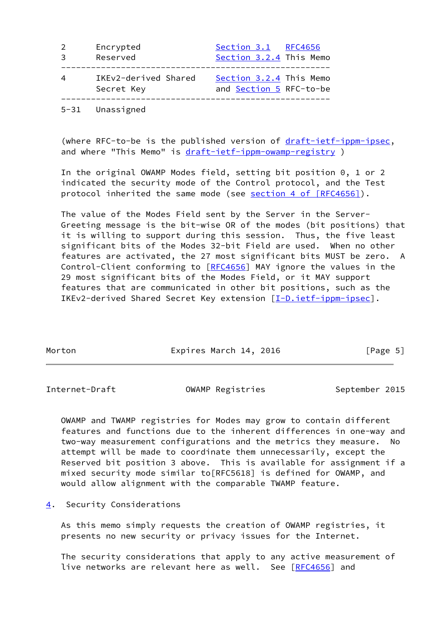| 2 | Encrypted                          | Section 3.1 RFC4656                                |
|---|------------------------------------|----------------------------------------------------|
| 3 | Reserved                           | Section 3.2.4 This Memo                            |
| 4 | IKEv2-derived Shared<br>Secret Key | Section 3.2.4 This Memo<br>and Section 5 RFC-to-be |

5-31 Unassigned

 (where RFC-to-be is the published version of [draft-ietf-ippm-ipsec](https://datatracker.ietf.org/doc/pdf/draft-ietf-ippm-ipsec), and where "This Memo" is [draft-ietf-ippm-owamp-registry](https://datatracker.ietf.org/doc/pdf/draft-ietf-ippm-owamp-registry))

 In the original OWAMP Modes field, setting bit position 0, 1 or 2 indicated the security mode of the Control protocol, and the Test protocol inherited the same mode (see section [4 of \[RFC4656\]](https://datatracker.ietf.org/doc/pdf/rfc4656#section-4)).

 The value of the Modes Field sent by the Server in the Server- Greeting message is the bit-wise OR of the modes (bit positions) that it is willing to support during this session. Thus, the five least significant bits of the Modes 32-bit Field are used. When no other features are activated, the 27 most significant bits MUST be zero. A Control-Client conforming to [\[RFC4656](https://datatracker.ietf.org/doc/pdf/rfc4656)] MAY ignore the values in the 29 most significant bits of the Modes Field, or it MAY support features that are communicated in other bit positions, such as the IKEv2-derived Shared Secret Key extension [[I-D.ietf-ippm-ipsec](#page-7-1)].

| Morton | Expires March 14, 2016 | [Page 5] |
|--------|------------------------|----------|

<span id="page-5-1"></span>Internet-Draft **OWAMP Registries** September 2015

 OWAMP and TWAMP registries for Modes may grow to contain different features and functions due to the inherent differences in one-way and two-way measurement configurations and the metrics they measure. No attempt will be made to coordinate them unnecessarily, except the Reserved bit position 3 above. This is available for assignment if a mixed security mode similar to[RFC5618] is defined for OWAMP, and would allow alignment with the comparable TWAMP feature.

<span id="page-5-0"></span>[4](#page-5-0). Security Considerations

 As this memo simply requests the creation of OWAMP registries, it presents no new security or privacy issues for the Internet.

 The security considerations that apply to any active measurement of live networks are relevant here as well. See [[RFC4656](https://datatracker.ietf.org/doc/pdf/rfc4656)] and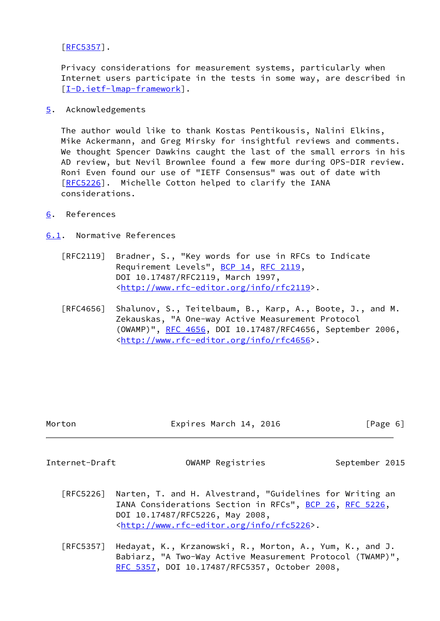[\[RFC5357](https://datatracker.ietf.org/doc/pdf/rfc5357)].

 Privacy considerations for measurement systems, particularly when Internet users participate in the tests in some way, are described in [\[I-D.ietf-lmap-framework](#page-7-2)].

<span id="page-6-0"></span>[5](#page-6-0). Acknowledgements

 The author would like to thank Kostas Pentikousis, Nalini Elkins, Mike Ackermann, and Greg Mirsky for insightful reviews and comments. We thought Spencer Dawkins caught the last of the small errors in his AD review, but Nevil Brownlee found a few more during OPS-DIR review. Roni Even found our use of "IETF Consensus" was out of date with [\[RFC5226](https://datatracker.ietf.org/doc/pdf/rfc5226)]. Michelle Cotton helped to clarify the IANA considerations.

<span id="page-6-1"></span>[6](#page-6-1). References

<span id="page-6-2"></span>[6.1](#page-6-2). Normative References

- [RFC2119] Bradner, S., "Key words for use in RFCs to Indicate Requirement Levels", [BCP 14](https://datatracker.ietf.org/doc/pdf/bcp14), [RFC 2119](https://datatracker.ietf.org/doc/pdf/rfc2119), DOI 10.17487/RFC2119, March 1997, <<http://www.rfc-editor.org/info/rfc2119>>.
- [RFC4656] Shalunov, S., Teitelbaum, B., Karp, A., Boote, J., and M. Zekauskas, "A One-way Active Measurement Protocol (OWAMP)", [RFC 4656](https://datatracker.ietf.org/doc/pdf/rfc4656), DOI 10.17487/RFC4656, September 2006, <<http://www.rfc-editor.org/info/rfc4656>>.

| Morton | Expires March 14, 2016 | [Page 6] |
|--------|------------------------|----------|
|        |                        |          |

<span id="page-6-3"></span>

Internet-Draft OWAMP Registries September 2015

- [RFC5226] Narten, T. and H. Alvestrand, "Guidelines for Writing an IANA Considerations Section in RFCs", [BCP 26](https://datatracker.ietf.org/doc/pdf/bcp26), [RFC 5226](https://datatracker.ietf.org/doc/pdf/rfc5226), DOI 10.17487/RFC5226, May 2008, <<http://www.rfc-editor.org/info/rfc5226>>.
- [RFC5357] Hedayat, K., Krzanowski, R., Morton, A., Yum, K., and J. Babiarz, "A Two-Way Active Measurement Protocol (TWAMP)", [RFC 5357,](https://datatracker.ietf.org/doc/pdf/rfc5357) DOI 10.17487/RFC5357, October 2008,